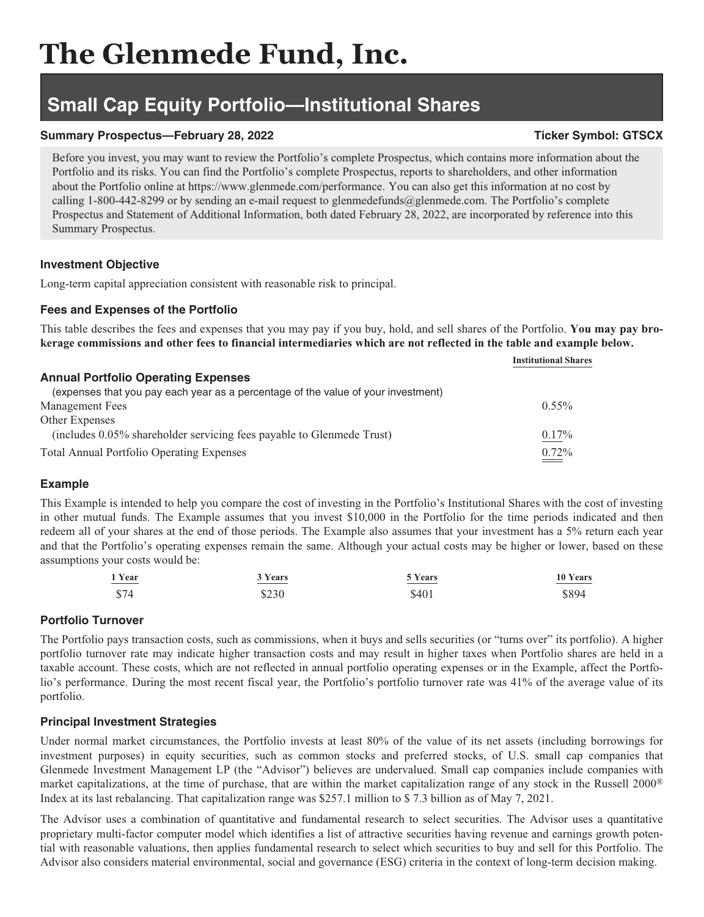# **The Glenmede Fund, Inc.**

## **Small Cap Equity Portfolio—Institutional Shares**

#### **Summary Prospectus—February 28, 2022** Ticker Symbol: GTSCX

Before you invest, you may want to review the Portfolio's complete Prospectus, which contains more information about the Portfolio and its risks. You can find the Portfolio's complete Prospectus, reports to shareholders, and other information about the Portfolio online at https://www.glenmede.com/performance. You can also get this information at no cost by calling 1-800-442-8299 or by sending an e-mail request to glenmedefunds@glenmede.com. The Portfolio's complete Prospectus and Statement of Additional Information, both dated February 28, 2022, are incorporated by reference into this Summary Prospectus.

#### **Investment Objective**

Long-term capital appreciation consistent with reasonable risk to principal.

### **Fees and Expenses of the Portfolio**

This table describes the fees and expenses that you may pay if you buy, hold, and sell shares of the Portfolio. **You may pay brokerage commissions and other fees to financial intermediaries which are not reflected in the table and example below.**

|                                                                                   | <b>Institutional Shares</b> |
|-----------------------------------------------------------------------------------|-----------------------------|
| <b>Annual Portfolio Operating Expenses</b>                                        |                             |
| (expenses that you pay each year as a percentage of the value of your investment) |                             |
| Management Fees                                                                   | $0.55\%$                    |
| Other Expenses                                                                    |                             |
| (includes 0.05% shareholder servicing fees payable to Glenmede Trust)             | $0.17\%$                    |
| <b>Total Annual Portfolio Operating Expenses</b>                                  | $0.72\%$                    |

#### **Example**

This Example is intended to help you compare the cost of investing in the Portfolio's Institutional Shares with the cost of investing in other mutual funds. The Example assumes that you invest \$10,000 in the Portfolio for the time periods indicated and then redeem all of your shares at the end of those periods. The Example also assumes that your investment has a 5% return each year and that the Portfolio's operating expenses remain the same. Although your actual costs may be higher or lower, based on these assumptions your costs would be:

| 1 Year | 3 Years | 5 Years | 10 Years |
|--------|---------|---------|----------|
| _____  | _______ |         |          |
| \$74   | \$230   | \$401   | \$894    |

#### **Portfolio Turnover**

The Portfolio pays transaction costs, such as commissions, when it buys and sells securities (or "turns over" its portfolio). A higher portfolio turnover rate may indicate higher transaction costs and may result in higher taxes when Portfolio shares are held in a taxable account. These costs, which are not reflected in annual portfolio operating expenses or in the Example, affect the Portfolio's performance. During the most recent fiscal year, the Portfolio's portfolio turnover rate was 41% of the average value of its portfolio.

#### **Principal Investment Strategies**

Under normal market circumstances, the Portfolio invests at least 80% of the value of its net assets (including borrowings for investment purposes) in equity securities, such as common stocks and preferred stocks, of U.S. small cap companies that Glenmede Investment Management LP (the "Advisor") believes are undervalued. Small cap companies include companies with market capitalizations, at the time of purchase, that are within the market capitalization range of any stock in the Russell 2000® Index at its last rebalancing. That capitalization range was \$257.1 million to \$ 7.3 billion as of May 7, 2021.

The Advisor uses a combination of quantitative and fundamental research to select securities. The Advisor uses a quantitative proprietary multi-factor computer model which identifies a list of attractive securities having revenue and earnings growth potential with reasonable valuations, then applies fundamental research to select which securities to buy and sell for this Portfolio. The Advisor also considers material environmental, social and governance (ESG) criteria in the context of long-term decision making.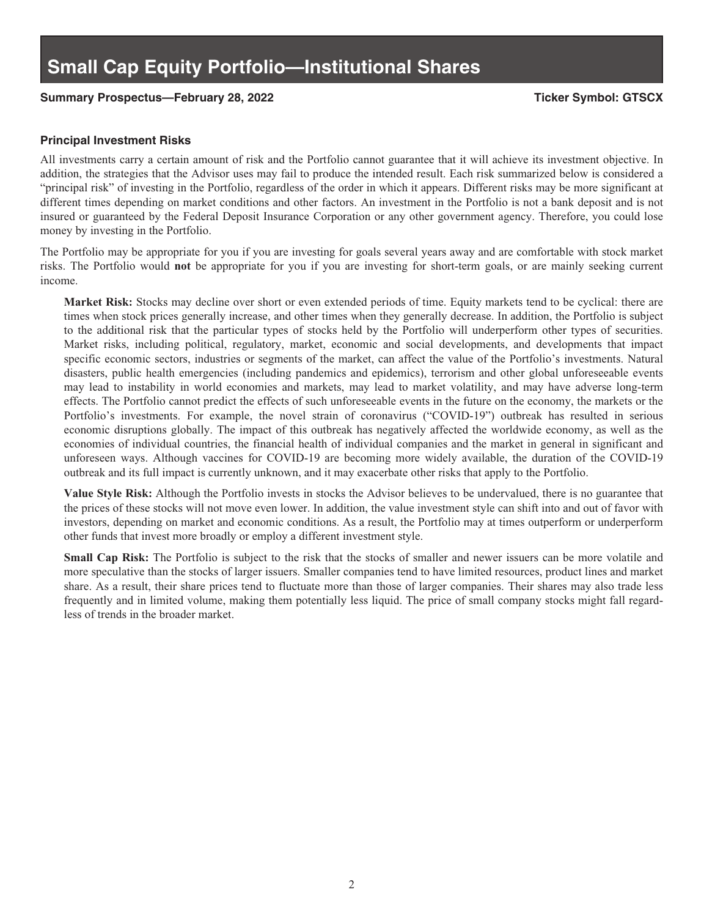#### **Summary Prospectus—February 28, 2022 Ticker Symbol: GTSCX**

#### **Principal Investment Risks**

All investments carry a certain amount of risk and the Portfolio cannot guarantee that it will achieve its investment objective. In addition, the strategies that the Advisor uses may fail to produce the intended result. Each risk summarized below is considered a "principal risk" of investing in the Portfolio, regardless of the order in which it appears. Different risks may be more significant at different times depending on market conditions and other factors. An investment in the Portfolio is not a bank deposit and is not insured or guaranteed by the Federal Deposit Insurance Corporation or any other government agency. Therefore, you could lose money by investing in the Portfolio.

The Portfolio may be appropriate for you if you are investing for goals several years away and are comfortable with stock market risks. The Portfolio would **not** be appropriate for you if you are investing for short-term goals, or are mainly seeking current income.

**Market Risk:** Stocks may decline over short or even extended periods of time. Equity markets tend to be cyclical: there are times when stock prices generally increase, and other times when they generally decrease. In addition, the Portfolio is subject to the additional risk that the particular types of stocks held by the Portfolio will underperform other types of securities. Market risks, including political, regulatory, market, economic and social developments, and developments that impact specific economic sectors, industries or segments of the market, can affect the value of the Portfolio's investments. Natural disasters, public health emergencies (including pandemics and epidemics), terrorism and other global unforeseeable events may lead to instability in world economies and markets, may lead to market volatility, and may have adverse long-term effects. The Portfolio cannot predict the effects of such unforeseeable events in the future on the economy, the markets or the Portfolio's investments. For example, the novel strain of coronavirus ("COVID-19") outbreak has resulted in serious economic disruptions globally. The impact of this outbreak has negatively affected the worldwide economy, as well as the economies of individual countries, the financial health of individual companies and the market in general in significant and unforeseen ways. Although vaccines for COVID-19 are becoming more widely available, the duration of the COVID-19 outbreak and its full impact is currently unknown, and it may exacerbate other risks that apply to the Portfolio.

**Value Style Risk:** Although the Portfolio invests in stocks the Advisor believes to be undervalued, there is no guarantee that the prices of these stocks will not move even lower. In addition, the value investment style can shift into and out of favor with investors, depending on market and economic conditions. As a result, the Portfolio may at times outperform or underperform other funds that invest more broadly or employ a different investment style.

**Small Cap Risk:** The Portfolio is subject to the risk that the stocks of smaller and newer issuers can be more volatile and more speculative than the stocks of larger issuers. Smaller companies tend to have limited resources, product lines and market share. As a result, their share prices tend to fluctuate more than those of larger companies. Their shares may also trade less frequently and in limited volume, making them potentially less liquid. The price of small company stocks might fall regardless of trends in the broader market.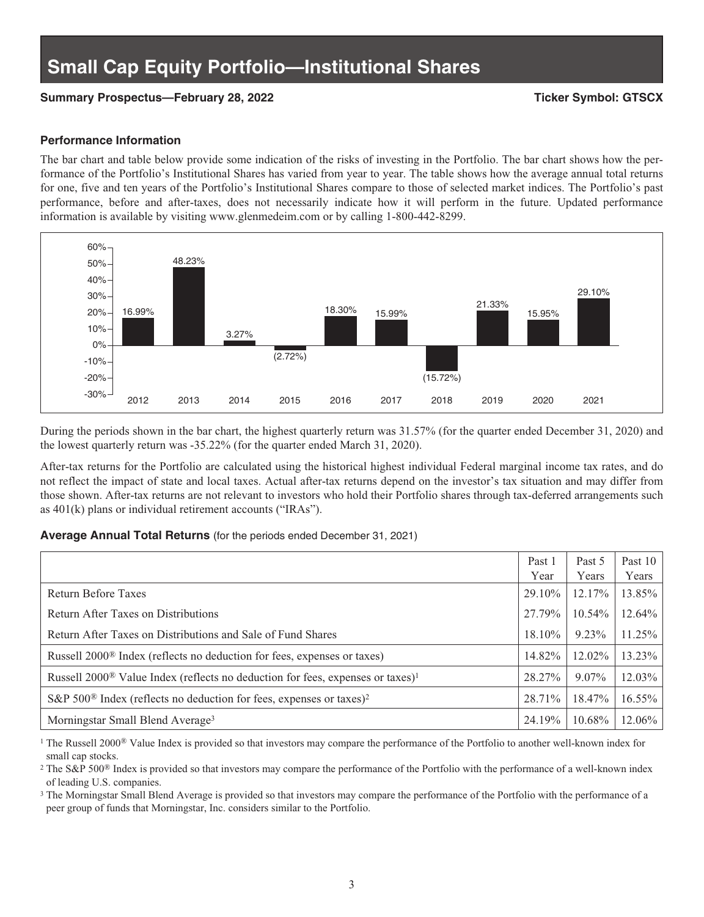#### **Summary Prospectus—February 28, 2022 Ticker Symbol: GTSCX**

#### **Performance Information**

The bar chart and table below provide some indication of the risks of investing in the Portfolio. The bar chart shows how the performance of the Portfolio's Institutional Shares has varied from year to year. The table shows how the average annual total returns for one, five and ten years of the Portfolio's Institutional Shares compare to those of selected market indices. The Portfolio's past performance, before and after-taxes, does not necessarily indicate how it will perform in the future. Updated performance information is available by visiting www.glenmedeim.com or by calling 1-800-442-8299.



During the periods shown in the bar chart, the highest quarterly return was 31.57% (for the quarter ended December 31, 2020) and the lowest quarterly return was -35.22% (for the quarter ended March 31, 2020).

After-tax returns for the Portfolio are calculated using the historical highest individual Federal marginal income tax rates, and do not reflect the impact of state and local taxes. Actual after-tax returns depend on the investor's tax situation and may differ from those shown. After-tax returns are not relevant to investors who hold their Portfolio shares through tax-deferred arrangements such as 401(k) plans or individual retirement accounts ("IRAs").

#### **Average Annual Total Returns** (for the periods ended December 31, 2021)

|                                                                                                        | Past 1<br>Year | Past 5<br>Years | Past 10<br>Years |
|--------------------------------------------------------------------------------------------------------|----------------|-----------------|------------------|
| Return Before Taxes                                                                                    | 29.10%         | 12.17%          | 13.85%           |
| Return After Taxes on Distributions                                                                    | 27.79%         | 10.54%          | 12.64%           |
| Return After Taxes on Distributions and Sale of Fund Shares                                            | $18.10\%$      | 9.23%           | 11.25%           |
| Russell 2000 <sup>®</sup> Index (reflects no deduction for fees, expenses or taxes)                    | 14.82%         | 12.02%          | 13.23%           |
| Russell 2000 <sup>®</sup> Value Index (reflects no deduction for fees, expenses or taxes) <sup>1</sup> | 28.27%         | $9.07\%$        | 12.03%           |
| S&P 500 <sup>®</sup> Index (reflects no deduction for fees, expenses or taxes) <sup>2</sup>            | 28.71%         | 18.47%          | 16.55%           |
| Morningstar Small Blend Average <sup>3</sup>                                                           | 24.19%         | 10.68%          | 12.06%           |

<sup>1</sup> The Russell 2000<sup>®</sup> Value Index is provided so that investors may compare the performance of the Portfolio to another well-known index for small cap stocks.

<sup>2</sup> The S&P 500<sup>®</sup> Index is provided so that investors may compare the performance of the Portfolio with the performance of a well-known index of leading U.S. companies.

<sup>3</sup> The Morningstar Small Blend Average is provided so that investors may compare the performance of the Portfolio with the performance of a peer group of funds that Morningstar, Inc. considers similar to the Portfolio.